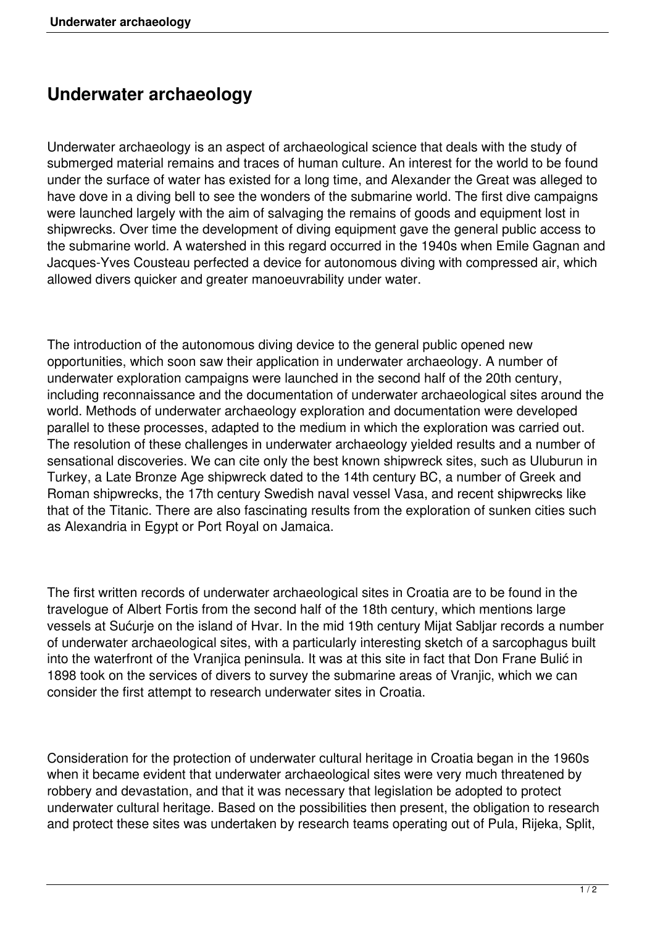## **Underwater archaeology**

Underwater archaeology is an aspect of archaeological science that deals with the study of submerged material remains and traces of human culture. An interest for the world to be found under the surface of water has existed for a long time, and Alexander the Great was alleged to have dove in a diving bell to see the wonders of the submarine world. The first dive campaigns were launched largely with the aim of salvaging the remains of goods and equipment lost in shipwrecks. Over time the development of diving equipment gave the general public access to the submarine world. A watershed in this regard occurred in the 1940s when Emile Gagnan and Jacques-Yves Cousteau perfected a device for autonomous diving with compressed air, which allowed divers quicker and greater manoeuvrability under water.

The introduction of the autonomous diving device to the general public opened new opportunities, which soon saw their application in underwater archaeology. A number of underwater exploration campaigns were launched in the second half of the 20th century, including reconnaissance and the documentation of underwater archaeological sites around the world. Methods of underwater archaeology exploration and documentation were developed parallel to these processes, adapted to the medium in which the exploration was carried out. The resolution of these challenges in underwater archaeology yielded results and a number of sensational discoveries. We can cite only the best known shipwreck sites, such as Uluburun in Turkey, a Late Bronze Age shipwreck dated to the 14th century BC, a number of Greek and Roman shipwrecks, the 17th century Swedish naval vessel Vasa, and recent shipwrecks like that of the Titanic. There are also fascinating results from the exploration of sunken cities such as Alexandria in Egypt or Port Royal on Jamaica.

The first written records of underwater archaeological sites in Croatia are to be found in the travelogue of Albert Fortis from the second half of the 18th century, which mentions large vessels at Sućurje on the island of Hvar. In the mid 19th century Mijat Sabljar records a number of underwater archaeological sites, with a particularly interesting sketch of a sarcophagus built into the waterfront of the Vranjica peninsula. It was at this site in fact that Don Frane Bulić in 1898 took on the services of divers to survey the submarine areas of Vranjic, which we can consider the first attempt to research underwater sites in Croatia.

Consideration for the protection of underwater cultural heritage in Croatia began in the 1960s when it became evident that underwater archaeological sites were very much threatened by robbery and devastation, and that it was necessary that legislation be adopted to protect underwater cultural heritage. Based on the possibilities then present, the obligation to research and protect these sites was undertaken by research teams operating out of Pula, Rijeka, Split,